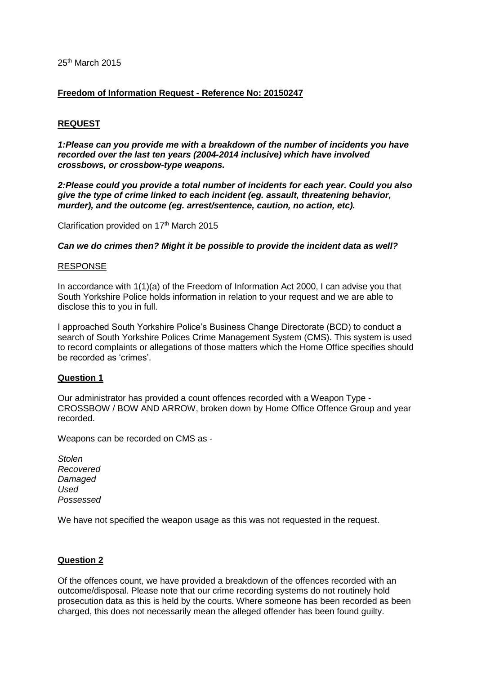# 25th March 2015

# **Freedom of Information Request - Reference No: 20150247**

# **REQUEST**

*1:Please can you provide me with a breakdown of the number of incidents you have recorded over the last ten years (2004-2014 inclusive) which have involved crossbows, or crossbow-type weapons.*

*2:Please could you provide a total number of incidents for each year. Could you also give the type of crime linked to each incident (eg. assault, threatening behavior, murder), and the outcome (eg. arrest/sentence, caution, no action, etc).*

Clarification provided on 17<sup>th</sup> March 2015

*Can we do crimes then? Might it be possible to provide the incident data as well?*

#### RESPONSE

In accordance with 1(1)(a) of the Freedom of Information Act 2000, I can advise you that South Yorkshire Police holds information in relation to your request and we are able to disclose this to you in full.

I approached South Yorkshire Police's Business Change Directorate (BCD) to conduct a search of South Yorkshire Polices Crime Management System (CMS). This system is used to record complaints or allegations of those matters which the Home Office specifies should be recorded as 'crimes'.

### **Question 1**

Our administrator has provided a count offences recorded with a Weapon Type - CROSSBOW / BOW AND ARROW, broken down by Home Office Offence Group and year recorded.

Weapons can be recorded on CMS as -

*Stolen Recovered Damaged Used Possessed*

We have not specified the weapon usage as this was not requested in the request.

### **Question 2**

Of the offences count, we have provided a breakdown of the offences recorded with an outcome/disposal. Please note that our crime recording systems do not routinely hold prosecution data as this is held by the courts. Where someone has been recorded as been charged, this does not necessarily mean the alleged offender has been found guilty.